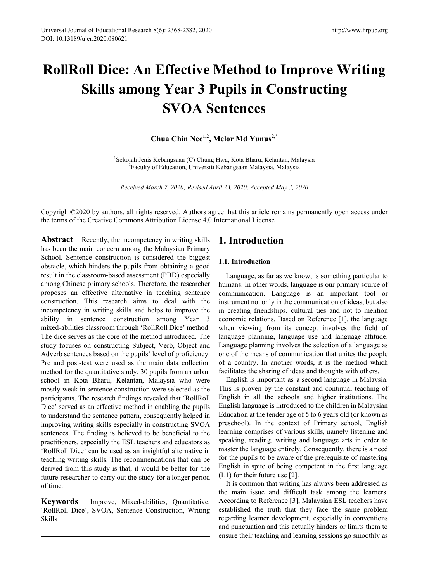# **RollRoll Dice: An Effective Method to Improve Writing Skills among Year 3 Pupils in Constructing SVOA Sentences**

Chua Chin Nee<sup>1,2</sup>, Melor Md Yunus<sup>2,\*</sup>

<sup>1</sup> Sekolah Jenis Kebangsaan (C) Chung Hwa, Kota Bharu, Kelantan, Malaysia<sup>2</sup> Eaculty of Education, Universiti Kebangsaan Malaysia Malaysia <sup>2</sup>Faculty of Education, Universiti Kebangsaan Malaysia, Malaysia

*Received March 7, 2020; Revised April 23, 2020; Accepted May 3, 2020*

Copyright©2020 by authors, all rights reserved. Authors agree that this article remains permanently open access under the terms of the Creative Commons Attribution License 4.0 International License

**Abstract** Recently, the incompetency in writing skills has been the main concern among the Malaysian Primary School. Sentence construction is considered the biggest obstacle, which hinders the pupils from obtaining a good result in the classroom-based assessment (PBD) especially among Chinese primary schools. Therefore, the researcher proposes an effective alternative in teaching sentence construction. This research aims to deal with the incompetency in writing skills and helps to improve the ability in sentence construction among Year 3 mixed-abilities classroom through 'RollRoll Dice' method. The dice serves as the core of the method introduced. The study focuses on constructing Subject, Verb, Object and Adverb sentences based on the pupils' level of proficiency. Pre and post-test were used as the main data collection method for the quantitative study. 30 pupils from an urban school in Kota Bharu, Kelantan, Malaysia who were mostly weak in sentence construction were selected as the participants. The research findings revealed that 'RollRoll Dice' served as an effective method in enabling the pupils to understand the sentence pattern, consequently helped in improving writing skills especially in constructing SVOA sentences. The finding is believed to be beneficial to the practitioners, especially the ESL teachers and educators as 'RollRoll Dice' can be used as an insightful alternative in teaching writing skills. The recommendations that can be derived from this study is that, it would be better for the future researcher to carry out the study for a longer period of time.

**Keywords** Improve, Mixed-abilities, Quantitative, 'RollRoll Dice', SVOA, Sentence Construction, Writing Skills

# **1. Introduction**

# **1.1. Introduction**

Language, as far as we know, is something particular to humans. In other words, language is our primary source of communication. Language is an important tool or instrument not only in the communication of ideas, but also in creating friendships, cultural ties and not to mention economic relations. Based on Reference [1], the language when viewing from its concept involves the field of language planning, language use and language attitude. Language planning involves the selection of a language as one of the means of communication that unites the people of a country. In another words, it is the method which facilitates the sharing of ideas and thoughts with others.

English is important as a second language in Malaysia. This is proven by the constant and continual teaching of English in all the schools and higher institutions. The English language is introduced to the children in Malaysian Education at the tender age of 5 to 6 years old (or known as preschool). In the context of Primary school, English learning comprises of various skills, namely listening and speaking, reading, writing and language arts in order to master the language entirely. Consequently, there is a need for the pupils to be aware of the prerequisite of mastering English in spite of being competent in the first language (L1) for their future use [2].

It is common that writing has always been addressed as the main issue and difficult task among the learners. According to Reference [3], Malaysian ESL teachers have established the truth that they face the same problem regarding learner development, especially in conventions and punctuation and this actually hinders or limits them to ensure their teaching and learning sessions go smoothly as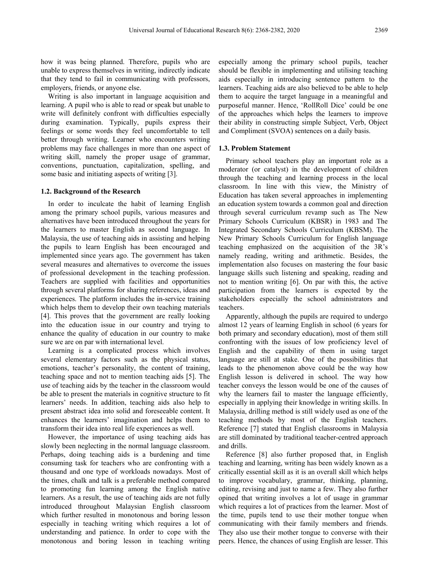how it was being planned. Therefore, pupils who are unable to express themselves in writing, indirectly indicate that they tend to fail in communicating with professors, employers, friends, or anyone else.

Writing is also important in language acquisition and learning. A pupil who is able to read or speak but unable to write will definitely confront with difficulties especially during examination. Typically, pupils express their feelings or some words they feel uncomfortable to tell better through writing. Learner who encounters writing problems may face challenges in more than one aspect of writing skill, namely the proper usage of grammar, conventions, punctuation, capitalization, spelling, and some basic and initiating aspects of writing [3].

#### **1.2. Background of the Research**

In order to inculcate the habit of learning English among the primary school pupils, various measures and alternatives have been introduced throughout the years for the learners to master English as second language. In Malaysia, the use of teaching aids in assisting and helping the pupils to learn English has been encouraged and implemented since years ago. The government has taken several measures and alternatives to overcome the issues of professional development in the teaching profession. Teachers are supplied with facilities and opportunities through several platforms for sharing references, ideas and experiences. The platform includes the in-service training which helps them to develop their own teaching materials [4]. This proves that the government are really looking into the education issue in our country and trying to enhance the quality of education in our country to make sure we are on par with international level.

Learning is a complicated process which involves several elementary factors such as the physical status, emotions, teacher's personality, the content of training, teaching space and not to mention teaching aids [5]. The use of teaching aids by the teacher in the classroom would be able to present the materials in cognitive structure to fit learners' needs. In addition, teaching aids also help to present abstract idea into solid and foreseeable content. It enhances the learners' imagination and helps them to transform their idea into real life experiences as well.

However, the importance of using teaching aids has slowly been neglecting in the normal language classroom. Perhaps, doing teaching aids is a burdening and time consuming task for teachers who are confronting with a thousand and one type of workloads nowadays. Most of the times, chalk and talk is a preferable method compared to promoting fun learning among the English native learners. As a result, the use of teaching aids are not fully introduced throughout Malaysian English classroom which further resulted in monotonous and boring lesson especially in teaching writing which requires a lot of understanding and patience. In order to cope with the monotonous and boring lesson in teaching writing

especially among the primary school pupils, teacher should be flexible in implementing and utilising teaching aids especially in introducing sentence pattern to the learners. Teaching aids are also believed to be able to help them to acquire the target language in a meaningful and purposeful manner. Hence, 'RollRoll Dice' could be one of the approaches which helps the learners to improve their ability in constructing simple Subject, Verb, Object and Compliment (SVOA) sentences on a daily basis.

# **1.3. Problem Statement**

Primary school teachers play an important role as a moderator (or catalyst) in the development of children through the teaching and learning process in the local classroom. In line with this view, the Ministry of Education has taken several approaches in implementing an education system towards a common goal and direction through several curriculum revamp such as The New Primary Schools Curriculum (KBSR) in 1983 and The Integrated Secondary Schools Curriculum (KBSM). The New Primary Schools Curriculum for English language teaching emphasized on the acquisition of the 3R's namely reading, writing and arithmetic. Besides, the implementation also focuses on mastering the four basic language skills such listening and speaking, reading and not to mention writing [6]. On par with this, the active participation from the learners is expected by the stakeholders especially the school administrators and teachers.

Apparently, although the pupils are required to undergo almost 12 years of learning English in school (6 years for both primary and secondary education), most of them still confronting with the issues of low proficiency level of English and the capability of them in using target language are still at stake. One of the possibilities that leads to the phenomenon above could be the way how English lesson is delivered in school. The way how teacher conveys the lesson would be one of the causes of why the learners fail to master the language efficiently, especially in applying their knowledge in writing skills. In Malaysia, drilling method is still widely used as one of the teaching methods by most of the English teachers. Reference [7] stated that English classrooms in Malaysia are still dominated by traditional teacher-centred approach and drills.

Reference [8] also further proposed that, in English teaching and learning, writing has been widely known as a critically essential skill as it is an overall skill which helps to improve vocabulary, grammar, thinking, planning, editing, revising and just to name a few. They also further opined that writing involves a lot of usage in grammar which requires a lot of practices from the learner. Most of the time, pupils tend to use their mother tongue when communicating with their family members and friends. They also use their mother tongue to converse with their peers. Hence, the chances of using English are lesser. This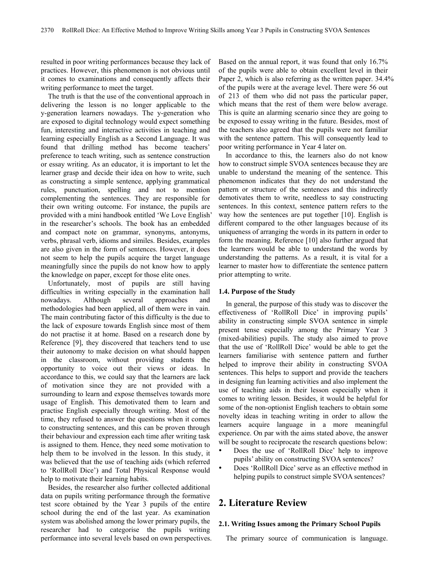resulted in poor writing performances because they lack of practices. However, this phenomenon is not obvious until it comes to examinations and consequently affects their writing performance to meet the target.

The truth is that the use of the conventional approach in delivering the lesson is no longer applicable to the y-generation learners nowadays. The y-generation who are exposed to digital technology would expect something fun, interesting and interactive activities in teaching and learning especially English as a Second Language. It was found that drilling method has become teachers' preference to teach writing, such as sentence construction or essay writing. As an educator, it is important to let the learner grasp and decide their idea on how to write, such as constructing a simple sentence, applying grammatical rules, punctuation, spelling and not to mention complementing the sentences. They are responsible for their own writing outcome. For instance, the pupils are provided with a mini handbook entitled 'We Love English' in the researcher's schools. The book has an embedded and compact note on grammar, synonyms, antonyms, verbs, phrasal verb, idioms and similes. Besides, examples are also given in the form of sentences. However, it does not seem to help the pupils acquire the target language meaningfully since the pupils do not know how to apply the knowledge on paper, except for those elite ones.

Unfortunately, most of pupils are still having difficulties in writing especially in the examination hall nowadays. Although several approaches and methodologies had been applied, all of them were in vain. The main contributing factor of this difficulty is the due to the lack of exposure towards English since most of them do not practise it at home. Based on a research done by Reference [9], they discovered that teachers tend to use their autonomy to make decision on what should happen in the classroom, without providing students the opportunity to voice out their views or ideas. In accordance to this, we could say that the learners are lack of motivation since they are not provided with a surrounding to learn and expose themselves towards more usage of English. This demotivated them to learn and practise English especially through writing. Most of the time, they refused to answer the questions when it comes to constructing sentences, and this can be proven through their behaviour and expression each time after writing task is assigned to them. Hence, they need some motivation to help them to be involved in the lesson. In this study, it was believed that the use of teaching aids (which referred to 'RollRoll Dice') and Total Physical Response would help to motivate their learning habits.

Besides, the researcher also further collected additional data on pupils writing performance through the formative test score obtained by the Year 3 pupils of the entire school during the end of the last year. As examination system was abolished among the lower primary pupils, the researcher had to categorise the pupils writing performance into several levels based on own perspectives. Based on the annual report, it was found that only 16.7% of the pupils were able to obtain excellent level in their Paper 2, which is also referring as the written paper. 34.4% of the pupils were at the average level. There were 56 out of 213 of them who did not pass the particular paper, which means that the rest of them were below average. This is quite an alarming scenario since they are going to be exposed to essay writing in the future. Besides, most of the teachers also agreed that the pupils were not familiar with the sentence pattern. This will consequently lead to poor writing performance in Year 4 later on.

In accordance to this, the learners also do not know how to construct simple SVOA sentences because they are unable to understand the meaning of the sentence. This phenomenon indicates that they do not understand the pattern or structure of the sentences and this indirectly demotivates them to write, needless to say constructing sentences. In this context, sentence pattern refers to the way how the sentences are put together [10]. English is different compared to the other languages because of its uniqueness of arranging the words in its pattern in order to form the meaning. Reference [10] also further argued that the learners would be able to understand the words by understanding the patterns. As a result, it is vital for a learner to master how to differentiate the sentence pattern prior attempting to write.

#### **1.4. Purpose of the Study**

In general, the purpose of this study was to discover the effectiveness of 'RollRoll Dice' in improving pupils' ability in constructing simple SVOA sentence in simple present tense especially among the Primary Year 3 (mixed-abilities) pupils. The study also aimed to prove that the use of 'RollRoll Dice' would be able to get the learners familiarise with sentence pattern and further helped to improve their ability in constructing SVOA sentences. This helps to support and provide the teachers in designing fun learning activities and also implement the use of teaching aids in their lesson especially when it comes to writing lesson. Besides, it would be helpful for some of the non-optionist English teachers to obtain some novelty ideas in teaching writing in order to allow the learners acquire language in a more meaningful experience. On par with the aims stated above, the answer will be sought to reciprocate the research questions below:

- Does the use of 'RollRoll Dice' help to improve pupils' ability on constructing SVOA sentences?
- Does 'RollRoll Dice' serve as an effective method in helping pupils to construct simple SVOA sentences?

# **2. Literature Review**

#### **2.1. Writing Issues among the Primary School Pupils**

The primary source of communication is language.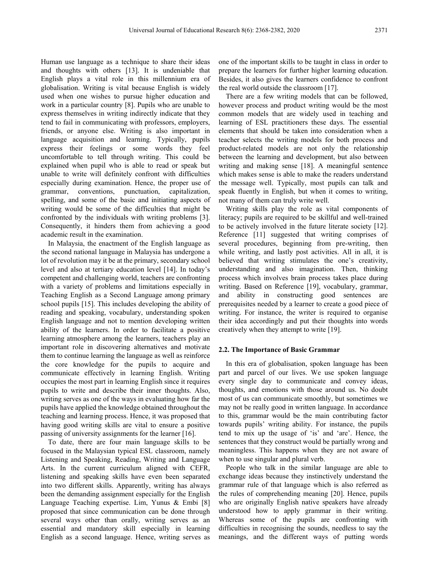Human use language as a technique to share their ideas and thoughts with others [13]. It is undeniable that English plays a vital role in this millennium era of globalisation. Writing is vital because English is widely used when one wishes to pursue higher education and work in a particular country [8]. Pupils who are unable to express themselves in writing indirectly indicate that they tend to fail in communicating with professors, employers, friends, or anyone else. Writing is also important in language acquisition and learning. Typically, pupils express their feelings or some words they feel uncomfortable to tell through writing. This could be explained when pupil who is able to read or speak but unable to write will definitely confront with difficulties especially during examination. Hence, the proper use of grammar, conventions, punctuation, capitalization, spelling, and some of the basic and initiating aspects of writing would be some of the difficulties that might be confronted by the individuals with writing problems [3]. Consequently, it hinders them from achieving a good academic result in the examination.

In Malaysia, the enactment of the English language as the second national language in Malaysia has undergone a lot of revolution may it be at the primary, secondary school level and also at tertiary education level [14]. In today's competent and challenging world, teachers are confronting with a variety of problems and limitations especially in Teaching English as a Second Language among primary school pupils [15]. This includes developing the ability of reading and speaking, vocabulary, understanding spoken English language and not to mention developing written ability of the learners. In order to facilitate a positive learning atmosphere among the learners, teachers play an important role in discovering alternatives and motivate them to continue learning the language as well as reinforce the core knowledge for the pupils to acquire and communicate effectively in learning English. Writing occupies the most part in learning English since it requires pupils to write and describe their inner thoughts. Also, writing serves as one of the ways in evaluating how far the pupils have applied the knowledge obtained throughout the teaching and learning process. Hence, it was proposed that having good writing skills are vital to ensure a positive passing of university assignments for the learner [16].

To date, there are four main language skills to be focused in the Malaysian typical ESL classroom, namely Listening and Speaking, Reading, Writing and Language Arts. In the current curriculum aligned with CEFR, listening and speaking skills have even been separated into two different skills. Apparently, writing has always been the demanding assignment especially for the English Language Teaching expertise. Lim, Yunus & Embi [8] proposed that since communication can be done through several ways other than orally, writing serves as an essential and mandatory skill especially in learning English as a second language. Hence, writing serves as

one of the important skills to be taught in class in order to prepare the learners for further higher learning education. Besides, it also gives the learners confidence to confront the real world outside the classroom [17].

There are a few writing models that can be followed, however process and product writing would be the most common models that are widely used in teaching and learning of ESL practitioners these days. The essential elements that should be taken into consideration when a teacher selects the writing models for both process and product-related models are not only the relationship between the learning and development, but also between writing and making sense [18]. A meaningful sentence which makes sense is able to make the readers understand the message well. Typically, most pupils can talk and speak fluently in English, but when it comes to writing, not many of them can truly write well.

Writing skills play the role as vital components of literacy; pupils are required to be skillful and well-trained to be actively involved in the future literate society [12]. Reference [11] suggested that writing comprises of several procedures, beginning from pre-writing, then while writing, and lastly post activities. All in all, it is believed that writing stimulates the one's creativity, understanding and also imagination. Then, thinking process which involves brain process takes place during writing. Based on Reference [19], vocabulary, grammar, and ability in constructing good sentences are prerequisites needed by a learner to create a good piece of writing. For instance, the writer is required to organise their idea accordingly and put their thoughts into words creatively when they attempt to write [19].

#### **2.2. The Importance of Basic Grammar**

In this era of globalisation, spoken language has been part and parcel of our lives. We use spoken language every single day to communicate and convey ideas, thoughts, and emotions with those around us. No doubt most of us can communicate smoothly, but sometimes we may not be really good in written language. In accordance to this, grammar would be the main contributing factor towards pupils' writing ability. For instance, the pupils tend to mix up the usage of 'is' and 'are'. Hence, the sentences that they construct would be partially wrong and meaningless. This happens when they are not aware of when to use singular and plural verb.

People who talk in the similar language are able to exchange ideas because they instinctively understand the grammar rule of that language which is also referred as the rules of comprehending meaning [20]. Hence, pupils who are originally English native speakers have already understood how to apply grammar in their writing. Whereas some of the pupils are confronting with difficulties in recognising the sounds, needless to say the meanings, and the different ways of putting words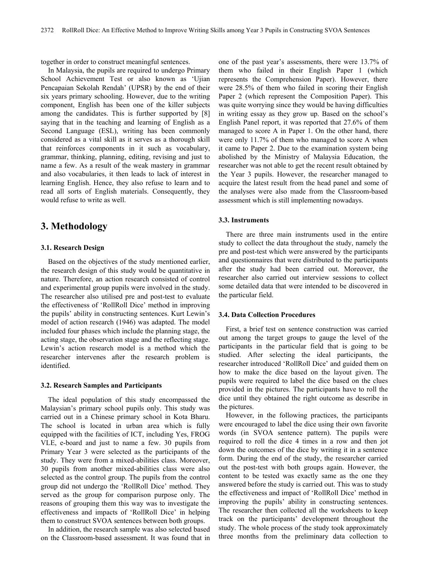together in order to construct meaningful sentences.

In Malaysia, the pupils are required to undergo Primary School Achievement Test or also known as 'Ujian Pencapaian Sekolah Rendah' (UPSR) by the end of their six years primary schooling. However, due to the writing component, English has been one of the killer subjects among the candidates. This is further supported by [8] saying that in the teaching and learning of English as a Second Language (ESL), writing has been commonly considered as a vital skill as it serves as a thorough skill that reinforces components in it such as vocabulary, grammar, thinking, planning, editing, revising and just to name a few. As a result of the weak mastery in grammar and also vocabularies, it then leads to lack of interest in learning English. Hence, they also refuse to learn and to read all sorts of English materials. Consequently, they would refuse to write as well.

# **3. Methodology**

## **3.1. Research Design**

Based on the objectives of the study mentioned earlier, the research design of this study would be quantitative in nature. Therefore, an action research consisted of control and experimental group pupils were involved in the study. The researcher also utilised pre and post-test to evaluate the effectiveness of 'RollRoll Dice' method in improving the pupils' ability in constructing sentences. Kurt Lewin's model of action research (1946) was adapted. The model included four phases which include the planning stage, the acting stage, the observation stage and the reflecting stage. Lewin's action research model is a method which the researcher intervenes after the research problem is identified.

#### **3.2. Research Samples and Participants**

The ideal population of this study encompassed the Malaysian's primary school pupils only. This study was carried out in a Chinese primary school in Kota Bharu. The school is located in urban area which is fully equipped with the facilities of ICT, including Yes, FROG VLE, e-board and just to name a few. 30 pupils from Primary Year 3 were selected as the participants of the study. They were from a mixed-abilities class. Moreover, 30 pupils from another mixed-abilities class were also selected as the control group. The pupils from the control group did not undergo the 'RollRoll Dice' method. They served as the group for comparison purpose only. The reasons of grouping them this way was to investigate the effectiveness and impacts of 'RollRoll Dice' in helping them to construct SVOA sentences between both groups.

In addition, the research sample was also selected based on the Classroom-based assessment. It was found that in

one of the past year's assessments, there were 13.7% of them who failed in their English Paper 1 (which represents the Comprehension Paper). However, there were 28.5% of them who failed in scoring their English Paper 2 (which represent the Composition Paper). This was quite worrying since they would be having difficulties in writing essay as they grow up. Based on the school's English Panel report, it was reported that 27.6% of them managed to score A in Paper 1. On the other hand, there were only 11.7% of them who managed to score A when it came to Paper 2. Due to the examination system being abolished by the Ministry of Malaysia Education, the researcher was not able to get the recent result obtained by the Year 3 pupils. However, the researcher managed to acquire the latest result from the head panel and some of the analyses were also made from the Classroom-based assessment which is still implementing nowadays.

## **3.3. Instruments**

There are three main instruments used in the entire study to collect the data throughout the study, namely the pre and post-test which were answered by the participants and questionnaires that were distributed to the participants after the study had been carried out. Moreover, the researcher also carried out interview sessions to collect some detailed data that were intended to be discovered in the particular field.

#### **3.4. Data Collection Procedures**

First, a brief test on sentence construction was carried out among the target groups to gauge the level of the participants in the particular field that is going to be studied. After selecting the ideal participants, the researcher introduced 'RollRoll Dice' and guided them on how to make the dice based on the layout given. The pupils were required to label the dice based on the clues provided in the pictures. The participants have to roll the dice until they obtained the right outcome as describe in the pictures.

However, in the following practices, the participants were encouraged to label the dice using their own favorite words (in SVOA sentence pattern). The pupils were required to roll the dice 4 times in a row and then jot down the outcomes of the dice by writing it in a sentence form. During the end of the study, the researcher carried out the post-test with both groups again. However, the content to be tested was exactly same as the one they answered before the study is carried out. This was to study the effectiveness and impact of 'RollRoll Dice' method in improving the pupils' ability in constructing sentences. The researcher then collected all the worksheets to keep track on the participants' development throughout the study. The whole process of the study took approximately three months from the preliminary data collection to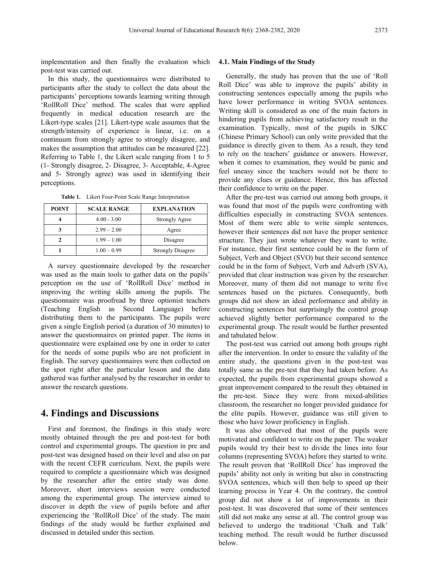implementation and then finally the evaluation which post-test was carried out.

In this study, the questionnaires were distributed to participants after the study to collect the data about the participants' perceptions towards learning writing through 'RollRoll Dice' method. The scales that were applied frequently in medical education research are the Likert-type scales [21]. Likert-type scale assumes that the strength/intensity of experience is linear, i.e. on a continuum from strongly agree to strongly disagree, and makes the assumption that attitudes can be measured [22]. Referring to Table 1, the Likert scale ranging from 1 to 5 (1- Strongly disagree, 2- Disagree, 3- Acceptable, 4-Agree and 5- Strongly agree) was used in identifying their perceptions.

**Table 1.** Likert Four-Point Scale Range Interpretation

| <b>POINT</b> | <b>SCALE RANGE</b> | <b>EXPLANATION</b>       |
|--------------|--------------------|--------------------------|
|              | $4.00 - 3.00$      | <b>Strongly Agree</b>    |
|              | $2.99 - 2.00$      | Agree                    |
|              | $1.99 - 1.00$      | Disagree                 |
|              | $1.00 - 0.99$      | <b>Strongly Disagree</b> |

A survey questionnaire developed by the researcher was used as the main tools to gather data on the pupils' perception on the use of 'RollRoll Dice' method in improving the writing skills among the pupils. The questionnaire was proofread by three optionist teachers (Teaching English as Second Language) before distributing them to the participants. The pupils were given a single English period (a duration of 30 minutes) to answer the questionnaires on printed paper. The items in questionnaire were explained one by one in order to cater for the needs of some pupils who are not proficient in English. The survey questionnaires were then collected on the spot right after the particular lesson and the data gathered was further analysed by the researcher in order to answer the research questions.

# **4. Findings and Discussions**

First and foremost, the findings in this study were mostly obtained through the pre and post-test for both control and experimental groups. The question in pre and post-test was designed based on their level and also on par with the recent CEFR curriculum. Next, the pupils were required to complete a questionnaire which was designed by the researcher after the entire study was done. Moreover, short interviews session were conducted among the experimental group. The interview aimed to discover in depth the view of pupils before and after experiencing the 'RollRoll Dice' of the study. The main findings of the study would be further explained and discussed in detailed under this section.

#### **4.1. Main Findings of the Study**

Generally, the study has proven that the use of 'Roll Roll Dice' was able to improve the pupils' ability in constructing sentences especially among the pupils who have lower performance in writing SVOA sentences. Writing skill is considered as one of the main factors in hindering pupils from achieving satisfactory result in the examination. Typically, most of the pupils in SJKC (Chinese Primary School) can only write provided that the guidance is directly given to them. As a result, they tend to rely on the teachers' guidance or answers. However, when it comes to examination, they would be panic and feel uneasy since the teachers would not be there to provide any clues or guidance. Hence, this has affected their confidence to write on the paper.

After the pre-test was carried out among both groups, it was found that most of the pupils were confronting with difficulties especially in constructing SVOA sentences. Most of them were able to write simple sentences, however their sentences did not have the proper sentence structure. They just wrote whatever they want to write. For instance, their first sentence could be in the form of Subject, Verb and Object (SVO) but their second sentence could be in the form of Subject, Verb and Adverb (SVA), provided that clear instruction was given by the researcher. Moreover, many of them did not manage to write five sentences based on the pictures. Consequently, both groups did not show an ideal performance and ability in constructing sentences but surprisingly the control group achieved slightly better performance compared to the experimental group. The result would be further presented and tabulated below.

The post-test was carried out among both groups right after the intervention. In order to ensure the validity of the entire study, the questions given in the post-test was totally same as the pre-test that they had taken before. As expected, the pupils from experimental groups showed a great improvement compared to the result they obtained in the pre-test. Since they were from mixed-abilities classroom, the researcher no longer provided guidance for the elite pupils. However, guidance was still given to those who have lower proficiency in English.

It was also observed that most of the pupils were motivated and confident to write on the paper. The weaker pupils would try their best to divide the lines into four columns (representing SVOA) before they started to write. The result proven that 'RollRoll Dice' has improved the pupils' ability not only in writing but also in constructing SVOA sentences, which will then help to speed up their learning process in Year 4. On the contrary, the control group did not show a lot of improvements in their post-test. It was discovered that some of their sentences still did not make any sense at all. The control group was believed to undergo the traditional 'Chalk and Talk' teaching method. The result would be further discussed below.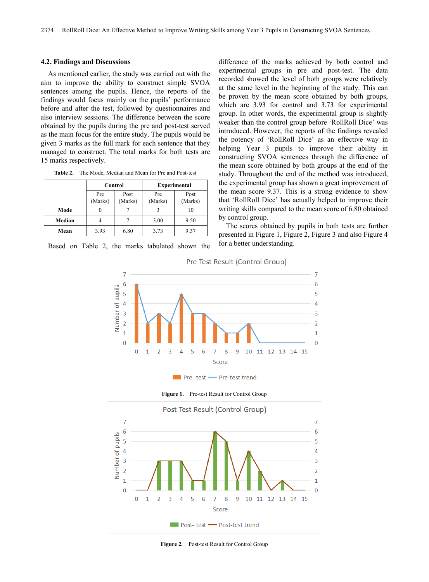#### **4.2. Findings and Discussions**

As mentioned earlier, the study was carried out with the aim to improve the ability to construct simple SVOA sentences among the pupils. Hence, the reports of the findings would focus mainly on the pupils' performance before and after the test, followed by questionnaires and also interview sessions. The difference between the score obtained by the pupils during the pre and post-test served as the main focus for the entire study. The pupils would be given 3 marks as the full mark for each sentence that they managed to construct. The total marks for both tests are 15 marks respectively.

| Table 2. |  |  |  | The Mode, Median and Mean for Pre and Post-test |
|----------|--|--|--|-------------------------------------------------|
|----------|--|--|--|-------------------------------------------------|

|        | Control        |                 | <b>Experimental</b> |                 |
|--------|----------------|-----------------|---------------------|-----------------|
|        | Pre<br>(Marks) | Post<br>(Marks) | Pre<br>(Marks)      | Post<br>(Marks) |
| Mode   |                |                 |                     | 10              |
| Median |                |                 | 3.00                | 9.50            |
| Mean   | 3.93           | 6.80            | 3.73                | 9.37            |

Based on Table 2, the marks tabulated shown the

difference of the marks achieved by both control and experimental groups in pre and post-test. The data recorded showed the level of both groups were relatively at the same level in the beginning of the study. This can be proven by the mean score obtained by both groups, which are 3.93 for control and 3.73 for experimental group. In other words, the experimental group is slightly weaker than the control group before 'RollRoll Dice' was introduced. However, the reports of the findings revealed the potency of 'RollRoll Dice' as an effective way in helping Year 3 pupils to improve their ability in constructing SVOA sentences through the difference of the mean score obtained by both groups at the end of the study. Throughout the end of the method was introduced, the experimental group has shown a great improvement of the mean score 9.37. This is a strong evidence to show that 'RollRoll Dice' has actually helped to improve their writing skills compared to the mean score of 6.80 obtained by control group.

The scores obtained by pupils in both tests are further presented in Figure 1, Figure 2, Figure 3 and also Figure 4 for a better understanding.



**Figure 1.** Pre-test Result for Control Group



**Figure 2.** Post-test Result for Control Group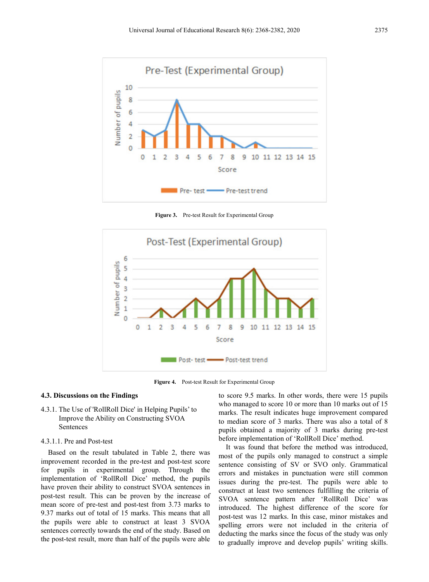

**Figure 3.** Pre-test Result for Experimental Group



**Figure 4.** Post-test Result for Experimental Group

## **4.3. Discussions on the Findings**

4.3.1. The Use of 'RollRoll Dice' in Helping Pupils' to Improve the Ability on Constructing SVOA Sentences

#### 4.3.1.1. Pre and Post-test

Based on the result tabulated in Table 2, there was improvement recorded in the pre-test and post-test score for pupils in experimental group. Through the implementation of 'RollRoll Dice' method, the pupils have proven their ability to construct SVOA sentences in post-test result. This can be proven by the increase of mean score of pre-test and post-test from 3.73 marks to 9.37 marks out of total of 15 marks. This means that all the pupils were able to construct at least 3 SVOA sentences correctly towards the end of the study. Based on the post-test result, more than half of the pupils were able

to score 9.5 marks. In other words, there were 15 pupils who managed to score 10 or more than 10 marks out of 15 marks. The result indicates huge improvement compared to median score of 3 marks. There was also a total of 8 pupils obtained a majority of 3 marks during pre-test before implementation of 'RollRoll Dice' method.

It was found that before the method was introduced, most of the pupils only managed to construct a simple sentence consisting of SV or SVO only. Grammatical errors and mistakes in punctuation were still common issues during the pre-test. The pupils were able to construct at least two sentences fulfilling the criteria of SVOA sentence pattern after 'RollRoll Dice' was introduced. The highest difference of the score for post-test was 12 marks. In this case, minor mistakes and spelling errors were not included in the criteria of deducting the marks since the focus of the study was only to gradually improve and develop pupils' writing skills.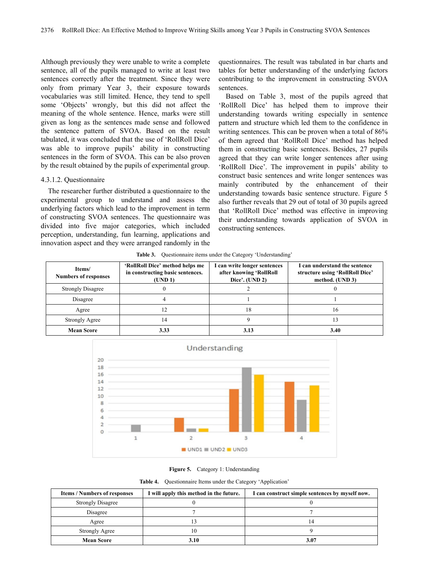Although previously they were unable to write a complete sentence, all of the pupils managed to write at least two sentences correctly after the treatment. Since they were only from primary Year 3, their exposure towards vocabularies was still limited. Hence, they tend to spell some 'Objects' wrongly, but this did not affect the meaning of the whole sentence. Hence, marks were still given as long as the sentences made sense and followed the sentence pattern of SVOA. Based on the result tabulated, it was concluded that the use of 'RollRoll Dice' was able to improve pupils' ability in constructing sentences in the form of SVOA. This can be also proven by the result obtained by the pupils of experimental group.

## 4.3.1.2. Questionnaire

The researcher further distributed a questionnaire to the experimental group to understand and assess the underlying factors which lead to the improvement in term of constructing SVOA sentences. The questionnaire was divided into five major categories, which included perception, understanding, fun learning, applications and innovation aspect and they were arranged randomly in the

questionnaires. The result was tabulated in bar charts and tables for better understanding of the underlying factors contributing to the improvement in constructing SVOA sentences.

Based on Table 3, most of the pupils agreed that 'RollRoll Dice' has helped them to improve their understanding towards writing especially in sentence pattern and structure which led them to the confidence in writing sentences. This can be proven when a total of 86% of them agreed that 'RollRoll Dice' method has helped them in constructing basic sentences. Besides, 27 pupils agreed that they can write longer sentences after using 'RollRoll Dice'. The improvement in pupils' ability to construct basic sentences and write longer sentences was mainly contributed by the enhancement of their understanding towards basic sentence structure. Figure 5 also further reveals that 29 out of total of 30 pupils agreed that 'RollRoll Dice' method was effective in improving their understanding towards application of SVOA in constructing sentences.

|  | <b>Table 3.</b> Questionnaire items under the Category 'Understanding' |  |  |
|--|------------------------------------------------------------------------|--|--|
|--|------------------------------------------------------------------------|--|--|

| Items/<br><b>Numbers of responses</b> | 'RollRoll Dice' method helps me<br>in constructing basic sentences.<br>(UND 1) | I can write longer sentences<br>after knowing 'RollRoll<br>Dice'. $(UND 2)$ | I can understand the sentence<br>structure using 'RollRoll Dice'<br>method. (UND 3) |
|---------------------------------------|--------------------------------------------------------------------------------|-----------------------------------------------------------------------------|-------------------------------------------------------------------------------------|
| <b>Strongly Disagree</b>              |                                                                                |                                                                             |                                                                                     |
| Disagree                              |                                                                                |                                                                             |                                                                                     |
| Agree                                 | 12                                                                             | 18                                                                          | 16                                                                                  |
| <b>Strongly Agree</b>                 | 14                                                                             |                                                                             |                                                                                     |
| <b>Mean Score</b>                     | 3.33                                                                           | 3.13                                                                        | 3.40                                                                                |





|  |  | <b>Table 4.</b> Questionnaire Items under the Category 'Application' |  |
|--|--|----------------------------------------------------------------------|--|
|--|--|----------------------------------------------------------------------|--|

| <b>Items / Numbers of responses</b> | I will apply this method in the future. | I can construct simple sentences by myself now. |
|-------------------------------------|-----------------------------------------|-------------------------------------------------|
| <b>Strongly Disagree</b>            |                                         |                                                 |
| Disagree                            |                                         |                                                 |
| Agree                               |                                         | 14                                              |
| Strongly Agree                      | 10                                      |                                                 |
| <b>Mean Score</b>                   | 3.10                                    | 3.07                                            |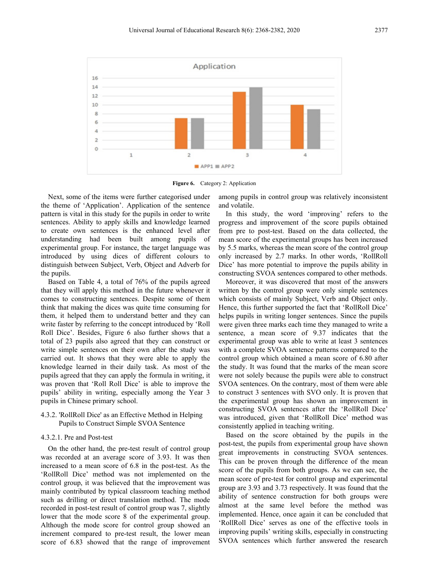

**Figure 6.** Category 2: Application

Next, some of the items were further categorised under the theme of 'Application'. Application of the sentence pattern is vital in this study for the pupils in order to write sentences. Ability to apply skills and knowledge learned to create own sentences is the enhanced level after understanding had been built among pupils of experimental group. For instance, the target language was introduced by using dices of different colours to distinguish between Subject, Verb, Object and Adverb for the pupils.

Based on Table 4, a total of 76% of the pupils agreed that they will apply this method in the future whenever it comes to constructing sentences. Despite some of them think that making the dices was quite time consuming for them, it helped them to understand better and they can write faster by referring to the concept introduced by 'Roll Roll Dice'. Besides, Figure 6 also further shows that a total of 23 pupils also agreed that they can construct or write simple sentences on their own after the study was carried out. It shows that they were able to apply the knowledge learned in their daily task. As most of the pupils agreed that they can apply the formula in writing, it was proven that 'Roll Roll Dice' is able to improve the pupils' ability in writing, especially among the Year 3 pupils in Chinese primary school.

# 4.3.2. 'RollRoll Dice' as an Effective Method in Helping Pupils to Construct Simple SVOA Sentence

#### 4.3.2.1. Pre and Post-test

On the other hand, the pre-test result of control group was recorded at an average score of 3.93. It was then increased to a mean score of 6.8 in the post-test. As the 'RollRoll Dice' method was not implemented on the control group, it was believed that the improvement was mainly contributed by typical classroom teaching method such as drilling or direct translation method. The mode recorded in post-test result of control group was 7, slightly lower that the mode score 8 of the experimental group. Although the mode score for control group showed an increment compared to pre-test result, the lower mean score of 6.83 showed that the range of improvement

among pupils in control group was relatively inconsistent and volatile.

In this study, the word 'improving' refers to the progress and improvement of the score pupils obtained from pre to post-test. Based on the data collected, the mean score of the experimental groups has been increased by 5.5 marks, whereas the mean score of the control group only increased by 2.7 marks. In other words, 'RollRoll Dice' has more potential to improve the pupils ability in constructing SVOA sentences compared to other methods.

Moreover, it was discovered that most of the answers written by the control group were only simple sentences which consists of mainly Subject, Verb and Object only. Hence, this further supported the fact that 'RollRoll Dice' helps pupils in writing longer sentences. Since the pupils were given three marks each time they managed to write a sentence, a mean score of 9.37 indicates that the experimental group was able to write at least 3 sentences with a complete SVOA sentence patterns compared to the control group which obtained a mean score of 6.80 after the study. It was found that the marks of the mean score were not solely because the pupils were able to construct SVOA sentences. On the contrary, most of them were able to construct 3 sentences with SVO only. It is proven that the experimental group has shown an improvement in constructing SVOA sentences after the 'RollRoll Dice' was introduced, given that 'RollRoll Dice' method was consistently applied in teaching writing.

Based on the score obtained by the pupils in the post-test, the pupils from experimental group have shown great improvements in constructing SVOA sentences. This can be proven through the difference of the mean score of the pupils from both groups. As we can see, the mean score of pre-test for control group and experimental group are 3.93 and 3.73 respectively. It was found that the ability of sentence construction for both groups were almost at the same level before the method was implemented. Hence, once again it can be concluded that 'RollRoll Dice' serves as one of the effective tools in improving pupils' writing skills, especially in constructing SVOA sentences which further answered the research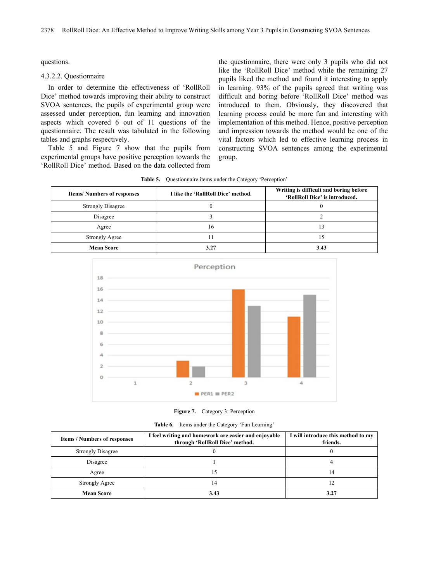questions.

## 4.3.2.2. Questionnaire

In order to determine the effectiveness of 'RollRoll Dice' method towards improving their ability to construct SVOA sentences, the pupils of experimental group were assessed under perception, fun learning and innovation aspects which covered 6 out of 11 questions of the questionnaire. The result was tabulated in the following tables and graphs respectively.

Table 5 and Figure 7 show that the pupils from experimental groups have positive perception towards the 'RollRoll Dice' method. Based on the data collected from

the questionnaire, there were only 3 pupils who did not like the 'RollRoll Dice' method while the remaining 27 pupils liked the method and found it interesting to apply in learning. 93% of the pupils agreed that writing was difficult and boring before 'RollRoll Dice' method was introduced to them. Obviously, they discovered that learning process could be more fun and interesting with implementation of this method. Hence, positive perception and impression towards the method would be one of the vital factors which led to effective learning process in constructing SVOA sentences among the experimental group.

**Table 5.** Questionnaire items under the Category 'Perception'

| <b>Items/Numbers of responses</b> | I like the 'RollRoll Dice' method. | Writing is difficult and boring before<br>'RollRoll Dice' is introduced. |
|-----------------------------------|------------------------------------|--------------------------------------------------------------------------|
| <b>Strongly Disagree</b>          |                                    |                                                                          |
| Disagree                          |                                    |                                                                          |
| Agree                             | 16                                 | 3                                                                        |
| Strongly Agree                    | 11                                 | 5                                                                        |
| <b>Mean Score</b>                 | 3.27                               | 3.43                                                                     |



**Figure 7.** Category 3: Perception

**Table 6.** Items under the Category 'Fun Learning'

| <b>Items / Numbers of responses</b> | I feel writing and homework are easier and enjoyable<br>through 'RollRoll Dice' method. | I will introduce this method to my<br>friends. |
|-------------------------------------|-----------------------------------------------------------------------------------------|------------------------------------------------|
| <b>Strongly Disagree</b>            |                                                                                         |                                                |
| Disagree                            |                                                                                         |                                                |
| Agree                               |                                                                                         | 14                                             |
| Strongly Agree                      | 4،                                                                                      |                                                |
| <b>Mean Score</b>                   | 3.43                                                                                    | 3.27                                           |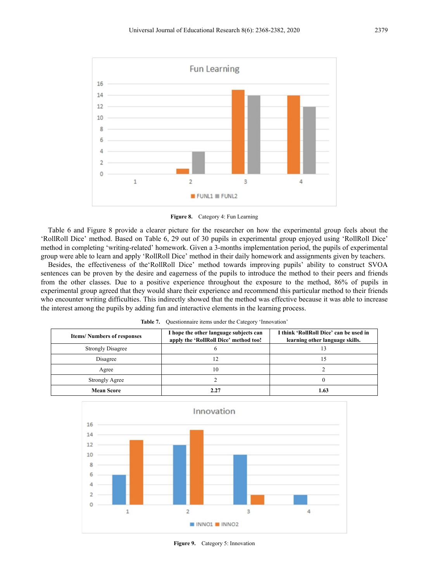

**Figure 8.** Category 4: Fun Learning

Table 6 and Figure 8 provide a clearer picture for the researcher on how the experimental group feels about the 'RollRoll Dice' method. Based on Table 6, 29 out of 30 pupils in experimental group enjoyed using 'RollRoll Dice' method in completing 'writing-related' homework. Given a 3-months implementation period, the pupils of experimental group were able to learn and apply 'RollRoll Dice' method in their daily homework and assignments given by teachers.

Besides, the effectiveness of the'RollRoll Dice' method towards improving pupils' ability to construct SVOA sentences can be proven by the desire and eagerness of the pupils to introduce the method to their peers and friends from the other classes. Due to a positive experience throughout the exposure to the method, 86% of pupils in experimental group agreed that they would share their experience and recommend this particular method to their friends who encounter writing difficulties. This indirectly showed that the method was effective because it was able to increase the interest among the pupils by adding fun and interactive elements in the learning process.

| <b>Items/Numbers of responses</b> | I hope the other language subjects can<br>apply the 'RollRoll Dice' method too! | I think 'RollRoll Dice' can be used in<br>learning other language skills. |
|-----------------------------------|---------------------------------------------------------------------------------|---------------------------------------------------------------------------|
| <b>Strongly Disagree</b>          |                                                                                 |                                                                           |
| Disagree                          |                                                                                 | 15                                                                        |
| Agree                             | 10                                                                              |                                                                           |
| <b>Strongly Agree</b>             |                                                                                 |                                                                           |
| <b>Mean Score</b>                 |                                                                                 | 1.63                                                                      |

Table 7. Ouestionnaire items under the Category 'Innovation'



**Figure 9.** Category 5: Innovation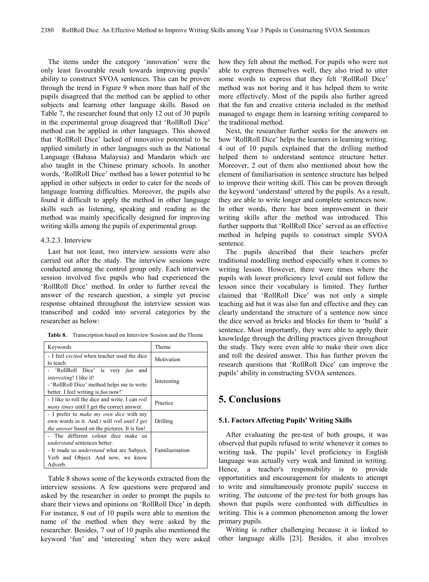The items under the category 'innovation' were the only least favourable result towards improving pupils' ability to construct SVOA sentences. This can be proven through the trend in Figure 9 when more than half of the pupils disagreed that the method can be applied to other subjects and learning other language skills. Based on Table 7, the researcher found that only 12 out of 30 pupils in the experimental group disagreed that 'RollRoll Dice' method can be applied in other languages. This showed that 'RollRoll Dice' lacked of innovative potential to be applied similarly in other languages such as the National Language (Bahasa Malaysia) and Mandarin which are also taught in the Chinese primary schools. In another words, 'RollRoll Dice' method has a lower potential to be applied in other subjects in order to cater for the needs of language learning difficulties. Moreover, the pupils also found it difficult to apply the method in other language skills such as listening, speaking and reading as the method was mainly specifically designed for improving writing skills among the pupils of experimental group.

#### 4.3.2.3. Interview

Last but not least, two interview sessions were also carried out after the study. The interview sessions were conducted among the control group only. Each interview session involved five pupils who had experienced the 'RollRoll Dice' method. In order to further reveal the answer of the research question, a simple yet precise response obtained throughout the interview session was transcribed and coded into several categories by the researcher as below:

**Table 8.** Transcription based on Interview Session and the Theme

| Keywords                                                                                                                                                                       | Theme           |
|--------------------------------------------------------------------------------------------------------------------------------------------------------------------------------|-----------------|
| - I feel <i>excited</i> when teacher used the dice<br>to teach.                                                                                                                | Motivation      |
| - 'RollRoll Dice' is very fun<br>and<br><i>interesting!</i> I like it!<br>- 'RollRoll Dice' method helps me to write<br>better. I feel writing is <i>fun</i> now!'             | Interesting     |
| - I like to roll the dice and write. I can roll<br><i>many times</i> until I get the correct answer.                                                                           | Practice        |
| - I prefer to make my own dice with my<br>own words in it. And i will roll until I get<br><i>the answer</i> based on the pictures. It is fun!                                  | Drilling        |
| - The different colour dice make us<br><i>understand</i> sentences better.<br>- It made us <i>understand</i> what are Subject,<br>Verb and Object. And now, we know<br>Adverb. | Familiarisation |

Table 8 shows some of the keywords extracted from the interview sessions. A few questions were prepared and asked by the researcher in order to prompt the pupils to share their views and opinions on 'RollRoll Dice' in depth. For instance, 8 out of 10 pupils were able to mention the name of the method when they were asked by the researcher. Besides, 7 out of 10 pupils also mentioned the keyword 'fun' and 'interesting' when they were asked

how they felt about the method. For pupils who were not able to express themselves well, they also tried to utter some words to express that they felt 'RollRoll Dice' method was not boring and it has helped them to write more effectively. Most of the pupils also further agreed that the fun and creative criteria included in the method managed to engage them in learning writing compared to the traditional method.

Next, the researcher further seeks for the answers on how 'RollRoll Dice' helps the learners in learning writing. 4 out of 10 pupils explained that the drilling method helped them to understand sentence structure better. Moreover, 2 out of them also mentioned about how the element of familiarisation in sentence structure has helped to improve their writing skill. This can be proven through the keyword 'understand' uttered by the pupils. As a result, they are able to write longer and complete sentences now. In other words, there has been improvement in their writing skills after the method was introduced. This further supports that 'RollRoll Dice' served as an effective method in helping pupils to construct simple SVOA sentence.

The pupils described that their teachers prefer traditional modelling method especially when it comes to writing lesson. However, there were times where the pupils with lower proficiency level could not follow the lesson since their vocabulary is limited. They further claimed that 'RollRoll Dice' was not only a simple teaching aid but it was also fun and effective and they can clearly understand the structure of a sentence now since the dice served as bricks and blocks for them to 'build' a sentence. Most importantly, they were able to apply their knowledge through the drilling practices given throughout the study. They were even able to make their own dice and roll the desired answer. This has further proven the research questions that 'RollRoll Dice' can improve the pupils' ability in constructing SVOA sentences.

# **5. Conclusions**

#### **5.1. Factors Affecting Pupils' Writing Skills**

After evaluating the pre-test of both groups, it was observed that pupils refused to write whenever it comes to writing task. The pupils' level proficiency in English language was actually very weak and limited in writing. Hence, a teacher's responsibility is to provide opportunities and encouragement for students to attempt to write and simultaneously promote pupils' success in writing. The outcome of the pre-test for both groups has shown that pupils were confronted with difficulties in writing. This is a common phenomenon among the lower primary pupils.

Writing is rather challenging because it is linked to other language skills [23]. Besides, it also involves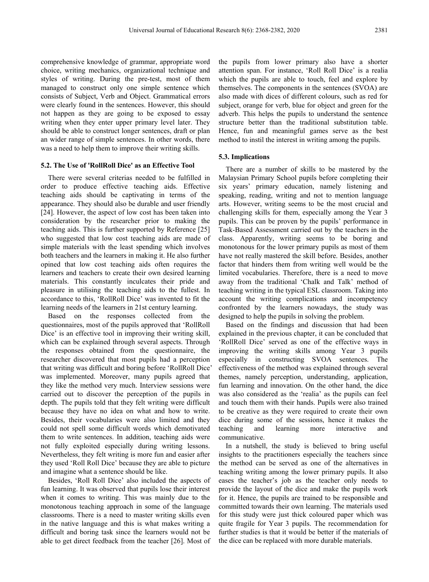comprehensive knowledge of grammar, appropriate word choice, writing mechanics, organizational technique and styles of writing. During the pre-test, most of them managed to construct only one simple sentence which consists of Subject, Verb and Object. Grammatical errors were clearly found in the sentences. However, this should not happen as they are going to be exposed to essay writing when they enter upper primary level later. They should be able to construct longer sentences, draft or plan an wider range of simple sentences. In other words, there was a need to help them to improve their writing skills.

## **5.2. The Use of 'RollRoll Dice' as an Effective Tool**

There were several criterias needed to be fulfilled in order to produce effective teaching aids. Effective teaching aids should be captivating in terms of the appearance. They should also be durable and user friendly [24]. However, the aspect of low cost has been taken into consideration by the researcher prior to making the teaching aids. This is further supported by Reference [25] who suggested that low cost teaching aids are made of simple materials with the least spending which involves both teachers and the learners in making it. He also further opined that low cost teaching aids often requires the learners and teachers to create their own desired learning materials. This constantly inculcates their pride and pleasure in utilising the teaching aids to the fullest. In accordance to this, 'RollRoll Dice' was invented to fit the learning needs of the learners in 21st century learning.

Based on the responses collected from the questionnaires, most of the pupils approved that 'RollRoll Dice' is an effective tool in improving their writing skill, which can be explained through several aspects. Through the responses obtained from the questionnaire, the researcher discovered that most pupils had a perception that writing was difficult and boring before 'RollRoll Dice' was implemented. Moreover, many pupils agreed that they like the method very much. Interview sessions were carried out to discover the perception of the pupils in depth. The pupils told that they felt writing were difficult because they have no idea on what and how to write. Besides, their vocabularies were also limited and they could not spell some difficult words which demotivated them to write sentences. In addition, teaching aids were not fully exploited especially during writing lessons. Nevertheless, they felt writing is more fun and easier after they used 'Roll Roll Dice' because they are able to picture and imagine what a sentence should be like.

Besides, 'Roll Roll Dice' also included the aspects of fun learning. It was observed that pupils lose their interest when it comes to writing. This was mainly due to the monotonous teaching approach in some of the language classrooms. There is a need to master writing skills even in the native language and this is what makes writing a difficult and boring task since the learners would not be able to get direct feedback from the teacher [26]. Most of

the pupils from lower primary also have a shorter attention span. For instance, 'Roll Roll Dice' is a realia which the pupils are able to touch, feel and explore by themselves. The components in the sentences (SVOA) are also made with dices of different colours, such as red for subject, orange for verb, blue for object and green for the adverb. This helps the pupils to understand the sentence structure better than the traditional substitution table. Hence, fun and meaningful games serve as the best method to instil the interest in writing among the pupils.

#### **5.3. Implications**

There are a number of skills to be mastered by the Malaysian Primary School pupils before completing their six years' primary education, namely listening and speaking, reading, writing and not to mention language arts. However, writing seems to be the most crucial and challenging skills for them, especially among the Year 3 pupils. This can be proven by the pupils' performance in Task-Based Assessment carried out by the teachers in the class. Apparently, writing seems to be boring and monotonous for the lower primary pupils as most of them have not really mastered the skill before. Besides, another factor that hinders them from writing well would be the limited vocabularies. Therefore, there is a need to move away from the traditional 'Chalk and Talk' method of teaching writing in the typical ESL classroom. Taking into account the writing complications and incompetency confronted by the learners nowadays, the study was designed to help the pupils in solving the problem.

Based on the findings and discussion that had been explained in the previous chapter, it can be concluded that 'RollRoll Dice' served as one of the effective ways in improving the writing skills among Year 3 pupils especially in constructing SVOA sentences. The effectiveness of the method was explained through several themes, namely perception, understanding, application, fun learning and innovation. On the other hand, the dice was also considered as the 'realia' as the pupils can feel and touch them with their hands. Pupils were also trained to be creative as they were required to create their own dice during some of the sessions, hence it makes the teaching and learning more interactive and communicative.

In a nutshell, the study is believed to bring useful insights to the practitioners especially the teachers since the method can be served as one of the alternatives in teaching writing among the lower primary pupils. It also eases the teacher's job as the teacher only needs to provide the layout of the dice and make the pupils work for it. Hence, the pupils are trained to be responsible and committed towards their own learning. The materials used for this study were just thick coloured paper which was quite fragile for Year 3 pupils. The recommendation for further studies is that it would be better if the materials of the dice can be replaced with more durable materials.